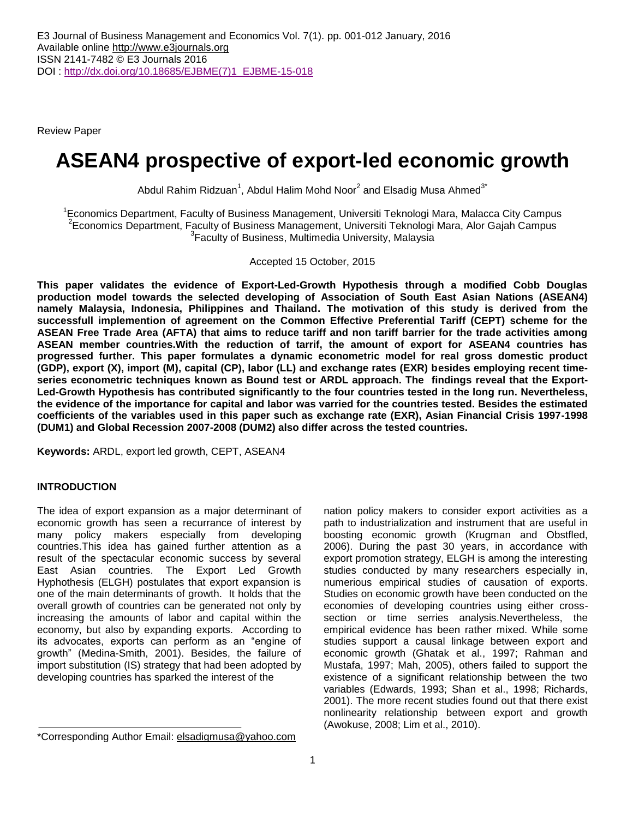Review Paper

# **ASEAN4 prospective of export-led economic growth**

Abdul Rahim Ridzuan<sup>1</sup>, Abdul Halim Mohd Noor<sup>2</sup> and Elsadig Musa Ahmed<sup>3\*</sup>

<sup>1</sup> Economics Department, Faculty of Business Management, Universiti Teknologi Mara, Malacca City Campus 2 Economics Department, Faculty of Business Management, Universiti Teknologi Mara, Alor Gajah Campus <sup>3</sup> Faculty of Business, Multimedia University, Malaysia

Accepted 15 October, 2015

**This paper validates the evidence of Export-Led-Growth Hypothesis through a modified Cobb Douglas production model towards the selected developing of Association of South East Asian Nations (ASEAN4) namely Malaysia, Indonesia, Philippines and Thailand. The motivation of this study is derived from the successfull implemention of agreement on the Common Effective Preferential Tariff (CEPT) scheme for the ASEAN Free Trade Area (AFTA) that aims to reduce tariff and non tariff barrier for the trade activities among ASEAN member countries.With the reduction of tarrif, the amount of export for ASEAN4 countries has progressed further. This paper formulates a dynamic econometric model for real gross domestic product (GDP), export (X), import (M), capital (CP), labor (LL) and exchange rates (EXR) besides employing recent timeseries econometric techniques known as Bound test or ARDL approach. The findings reveal that the Export-Led-Growth Hypothesis has contributed significantly to the four countries tested in the long run. Nevertheless, the evidence of the importance for capital and labor was varried for the countries tested. Besides the estimated coefficients of the variables used in this paper such as exchange rate (EXR), Asian Financial Crisis 1997-1998 (DUM1) and Global Recession 2007-2008 (DUM2) also differ across the tested countries.**

**Keywords:** ARDL, export led growth, CEPT, ASEAN4

# **INTRODUCTION**

The idea of export expansion as a major determinant of economic growth has seen a recurrance of interest by many policy makers especially from developing countries.This idea has gained further attention as a result of the spectacular economic success by several East Asian countries. The Export Led Growth Hyphothesis (ELGH) postulates that export expansion is one of the main determinants of growth. It holds that the overall growth of countries can be generated not only by increasing the amounts of labor and capital within the economy, but also by expanding exports. According to its advocates, exports can perform as an "engine of growth" (Medina-Smith, 2001). Besides, the failure of import substitution (IS) strategy that had been adopted by developing countries has sparked the interest of the

nation policy makers to consider export activities as a path to industrialization and instrument that are useful in boosting economic growth (Krugman and Obstfled, 2006). During the past 30 years, in accordance with export promotion strategy, ELGH is among the interesting studies conducted by many researchers especially in, numerious empirical studies of causation of exports. Studies on economic growth have been conducted on the economies of developing countries using either crosssection or time serries analysis.Nevertheless, the empirical evidence has been rather mixed. While some studies support a causal linkage between export and economic growth (Ghatak et al., 1997; Rahman and Mustafa, 1997; Mah, 2005), others failed to support the existence of a significant relationship between the two variables (Edwards, 1993; Shan et al., 1998; Richards, 2001). The more recent studies found out that there exist nonlinearity relationship between export and growth (Awokuse, 2008; Lim et al., 2010).

<sup>\*</sup>Corresponding Author Email: [elsadigmusa@yahoo.com](mailto:elsadigmusa@yahoo.com)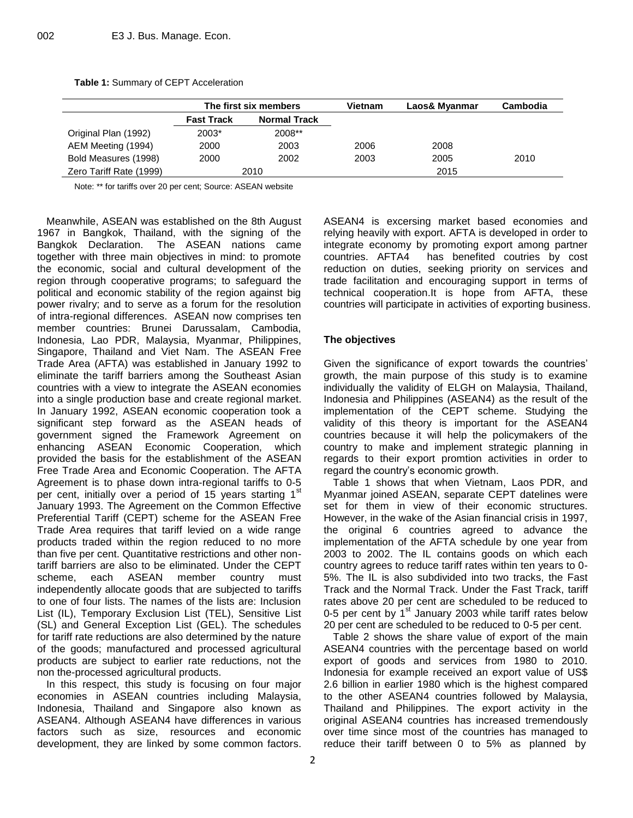|                         |                   | The first six members | <b>Vietnam</b> | Laos& Myanmar | <b>Cambodia</b> |
|-------------------------|-------------------|-----------------------|----------------|---------------|-----------------|
|                         | <b>Fast Track</b> | <b>Normal Track</b>   |                |               |                 |
| Original Plan (1992)    | 2008**<br>$2003*$ |                       |                |               |                 |
| AEM Meeting (1994)      | 2000              | 2003                  | 2006           | 2008          |                 |
| Bold Measures (1998)    | 2000              | 2002                  | 2003           | 2005          | 2010            |
| Zero Tariff Rate (1999) |                   | 2010                  |                | 2015          |                 |

**Table 1:** Summary of CEPT Acceleration

Note: \*\* for tariffs over 20 per cent; Source: ASEAN website

Meanwhile, ASEAN was established on the 8th August 1967 in Bangkok, Thailand, with the signing of the Bangkok Declaration. The ASEAN nations came together with three main objectives in mind: to promote the economic, social and cultural development of the region through cooperative programs; to safeguard the political and economic stability of the region against big power rivalry; and to serve as a forum for the resolution of intra-regional differences. ASEAN now comprises ten member countries: Brunei Darussalam, Cambodia, Indonesia, Lao PDR, Malaysia, Myanmar, Philippines, Singapore, Thailand and Viet Nam. The ASEAN Free Trade Area (AFTA) was established in January 1992 to eliminate the tariff barriers among the Southeast Asian countries with a view to integrate the ASEAN economies into a single production base and create regional market. In January 1992, ASEAN economic cooperation took a significant step forward as the ASEAN heads of government signed the Framework Agreement on enhancing ASEAN Economic Cooperation, which provided the basis for the establishment of the ASEAN Free Trade Area and Economic Cooperation. The AFTA Agreement is to phase down intra-regional tariffs to 0-5 per cent, initially over a period of 15 years starting 1<sup>st</sup> January 1993. The Agreement on the Common Effective Preferential Tariff (CEPT) scheme for the ASEAN Free Trade Area requires that tariff levied on a wide range products traded within the region reduced to no more than five per cent. Quantitative restrictions and other nontariff barriers are also to be eliminated. Under the CEPT scheme, each ASEAN member country must independently allocate goods that are subjected to tariffs to one of four lists. The names of the lists are: Inclusion List (IL), Temporary Exclusion List (TEL), Sensitive List (SL) and General Exception List (GEL). The schedules for tariff rate reductions are also determined by the nature of the goods; manufactured and processed agricultural products are subject to earlier rate reductions, not the non the-processed agricultural products.

In this respect, this study is focusing on four major economies in ASEAN countries including Malaysia, Indonesia, Thailand and Singapore also known as ASEAN4. Although ASEAN4 have differences in various factors such as size, resources and economic development, they are linked by some common factors. ASEAN4 is excersing market based economies and relying heavily with export. AFTA is developed in order to integrate economy by promoting export among partner countries. AFTA4 has benefited coutries by cost reduction on duties, seeking priority on services and trade facilitation and encouraging support in terms of technical cooperation.It is hope from AFTA, these countries will participate in activities of exporting business.

# **The objectives**

Given the significance of export towards the countries' growth, the main purpose of this study is to examine individually the validity of ELGH on Malaysia, Thailand, Indonesia and Philippines (ASEAN4) as the result of the implementation of the CEPT scheme. Studying the validity of this theory is important for the ASEAN4 countries because it will help the policymakers of the country to make and implement strategic planning in regards to their export promtion activities in order to regard the country's economic growth.

Table 1 shows that when Vietnam, Laos PDR, and Myanmar joined ASEAN, separate CEPT datelines were set for them in view of their economic structures. However, in the wake of the Asian financial crisis in 1997, the original 6 countries agreed to advance the implementation of the AFTA schedule by one year from 2003 to 2002. The IL contains goods on which each country agrees to reduce tariff rates within ten years to 0- 5%. The IL is also subdivided into two tracks, the Fast Track and the Normal Track. Under the Fast Track, tariff rates above 20 per cent are scheduled to be reduced to 0-5 per cent by  $1<sup>st</sup>$  January 2003 while tariff rates below 20 per cent are scheduled to be reduced to 0-5 per cent.

Table 2 shows the share value of export of the main ASEAN4 countries with the percentage based on world export of goods and services from 1980 to 2010. Indonesia for example received an export value of US\$ 2.6 billion in earlier 1980 which is the highest compared to the other ASEAN4 countries followed by Malaysia, Thailand and Philippines. The export activity in the original ASEAN4 countries has increased tremendously over time since most of the countries has managed to reduce their tariff between 0 to 5% as planned by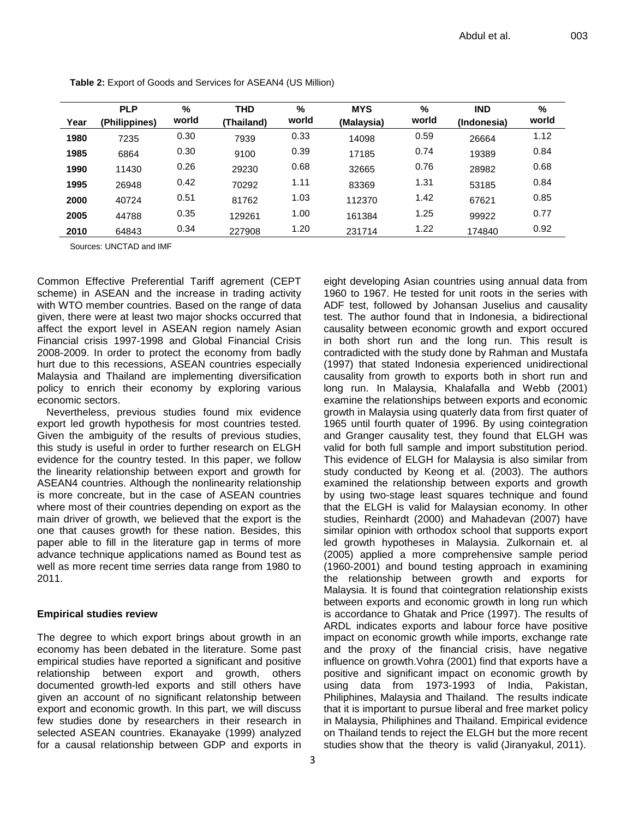| Year | <b>PLP</b><br>(Philippines) | %<br>world | <b>THD</b><br>(Thailand) | %<br>world | <b>MYS</b><br>(Malaysia) | %<br>world | <b>IND</b><br>(Indonesia) | %<br>world |
|------|-----------------------------|------------|--------------------------|------------|--------------------------|------------|---------------------------|------------|
|      |                             |            |                          |            |                          |            |                           |            |
| 1980 | 7235                        | 0.30       | 7939                     | 0.33       | 14098                    | 0.59       | 26664                     | 1.12       |
| 1985 | 6864                        | 0.30       | 9100                     | 0.39       | 17185                    | 0.74       | 19389                     | 0.84       |
| 1990 | 11430                       | 0.26       | 29230                    | 0.68       | 32665                    | 0.76       | 28982                     | 0.68       |
| 1995 | 26948                       | 0.42       | 70292                    | 1.11       | 83369                    | 1.31       | 53185                     | 0.84       |
| 2000 | 40724                       | 0.51       | 81762                    | 1.03       | 112370                   | 1.42       | 67621                     | 0.85       |
| 2005 | 44788                       | 0.35       | 129261                   | 1.00       | 161384                   | 1.25       | 99922                     | 0.77       |
| 2010 | 64843                       | 0.34       | 227908                   | 1.20       | 231714                   | 1.22       | 174840                    | 0.92       |

**Table 2:** Export of Goods and Services for ASEAN4 (US Million)

Sources: UNCTAD and IMF

Common Effective Preferential Tariff agrement (CEPT scheme) in ASEAN and the increase in trading activity with WTO member countries. Based on the range of data given, there were at least two major shocks occurred that affect the export level in ASEAN region namely Asian Financial crisis 1997-1998 and Global Financial Crisis 2008-2009. In order to protect the economy from badly hurt due to this recessions, ASEAN countries especially Malaysia and Thailand are implementing diversification policy to enrich their economy by exploring various economic sectors.

Nevertheless, previous studies found mix evidence export led growth hypothesis for most countries tested. Given the ambiguity of the results of previous studies, this study is useful in order to further research on ELGH evidence for the country tested. In this paper, we follow the linearity relationship between export and growth for ASEAN4 countries. Although the nonlinearity relationship is more concreate, but in the case of ASEAN countries where most of their countries depending on export as the main driver of growth, we believed that the export is the one that causes growth for these nation. Besides, this paper able to fill in the literature gap in terms of more advance technique applications named as Bound test as well as more recent time serries data range from 1980 to 2011.

## **Empirical studies review**

The degree to which export brings about growth in an economy has been debated in the literature. Some past empirical studies have reported a significant and positive relationship between export and growth, others documented growth-led exports and still others have given an account of no significant relatonship between export and economic growth. In this part, we will discuss few studies done by researchers in their research in selected ASEAN countries. Ekanayake (1999) analyzed for a causal relationship between GDP and exports in

3

eight developing Asian countries using annual data from 1960 to 1967. He tested for unit roots in the series with ADF test, followed by Johansan Juselius and causality test. The author found that in Indonesia, a bidirectional causality between economic growth and export occured in both short run and the long run. This result is contradicted with the study done by Rahman and Mustafa (1997) that stated Indonesia experienced unidirectional causality from growth to exports both in short run and long run. In Malaysia, Khalafalla and Webb (2001) examine the relationships between exports and economic growth in Malaysia using quaterly data from first quater of 1965 until fourth quater of 1996. By using cointegration and Granger causality test, they found that ELGH was valid for both full sample and import substitution period. This evidence of ELGH for Malaysia is also similar from study conducted by Keong et al. (2003). The authors examined the relationship between exports and growth by using two-stage least squares technique and found that the ELGH is valid for Malaysian economy. In other studies, Reinhardt (2000) and Mahadevan (2007) have similar opinion with orthodox school that supports export led growth hypotheses in Malaysia. Zulkornain et. al (2005) applied a more comprehensive sample period (1960-2001) and bound testing approach in examining the relationship between growth and exports for Malaysia. It is found that cointegration relationship exists between exports and economic growth in long run which is accordance to Ghatak and Price (1997). The results of ARDL indicates exports and labour force have positive impact on economic growth while imports, exchange rate and the proxy of the financial crisis, have negative influence on growth.Vohra (2001) find that exports have a positive and significant impact on economic growth by using data from 1973-1993 of India, Pakistan, Philiphines, Malaysia and Thailand. The results indicate that it is important to pursue liberal and free market policy in Malaysia, Philiphines and Thailand. Empirical evidence on Thailand tends to reject the ELGH but the more recent studies show that the theory is valid (Jiranyakul, 2011).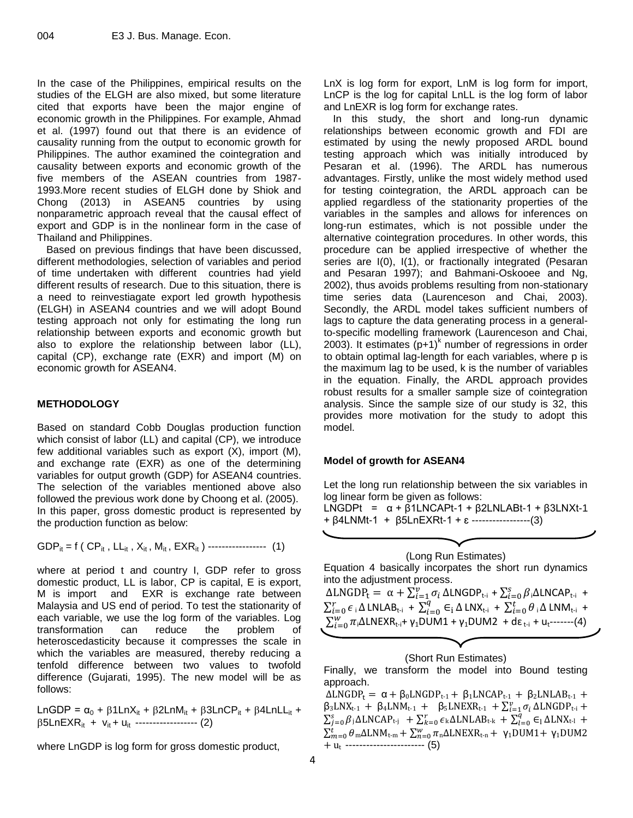In the case of the Philippines, empirical results on the studies of the ELGH are also mixed, but some literature cited that exports have been the major engine of economic growth in the Philippines. For example, Ahmad et al. (1997) found out that there is an evidence of causality running from the output to economic growth for Philippines. The author examined the cointegration and causality between exports and economic growth of the five members of the ASEAN countries from 1987- 1993.More recent studies of ELGH done by Shiok and Chong (2013) in ASEAN5 countries by using nonparametric approach reveal that the causal effect of export and GDP is in the nonlinear form in the case of Thailand and Philippines.

Based on previous findings that have been discussed, different methodologies, selection of variables and period of time undertaken with different countries had yield different results of research. Due to this situation, there is a need to reinvestiagate export led growth hypothesis (ELGH) in ASEAN4 countries and we will adopt Bound testing approach not only for estimating the long run relationship between exports and economic growth but also to explore the relationship between labor (LL), capital (CP), exchange rate (EXR) and import (M) on economic growth for ASEAN4.

## **METHODOLOGY**

Based on standard Cobb Douglas production function which consist of labor (LL) and capital (CP), we introduce few additional variables such as export (X), import (M), and exchange rate (EXR) as one of the determining variables for output growth (GDP) for ASEAN4 countries. The selection of the variables mentioned above also followed the previous work done by Choong et al. (2005). In this paper, gross domestic product is represented by the production function as below:

GDP<sub>it</sub> = f ( CP<sub>it</sub>, LL<sub>it</sub>, X<sub>it</sub>, M<sub>it</sub>, EXR<sub>it</sub>) 
$$
---
$$
 (1)

where at period t and country I, GDP refer to gross domestic product, LL is labor, CP is capital, E is export, M is import and EXR is exchange rate between Malaysia and US end of period. To test the stationarity of each variable, we use the log form of the variables. Log transformation can reduce the problem of heteroscedasticity because it compresses the scale in which the variables are measured, thereby reducing a tenfold difference between two values to twofold difference (Gujarati, 1995). The new model will be as follows:

LnGDP =  $\alpha_0$  +  $\beta$ 1LnX<sub>it</sub> +  $\beta$ 2LnM<sub>it</sub> +  $\beta$ 3LnCP<sub>it</sub> +  $\beta$ 4LnLL<sub>it</sub> +  $\beta$ 5LnEXR<sub>it</sub> + v<sub>it</sub> + u<sub>it</sub> ------------------ (2)

where LnGDP is log form for gross domestic product,

LnX is log form for export, LnM is log form for import, LnCP is the log for capital LnLL is the log form of labor and LnEXR is log form for exchange rates.

In this study, the short and long-run dynamic relationships between economic growth and FDI are estimated by using the newly proposed ARDL bound testing approach which was initially introduced by Pesaran et al. (1996). The ARDL has numerous advantages. Firstly, unlike the most widely method used for testing cointegration, the ARDL approach can be applied regardless of the stationarity properties of the variables in the samples and allows for inferences on long-run estimates, which is not possible under the alternative cointegration procedures. In other words, this procedure can be applied irrespective of whether the series are I(0), I(1), or fractionally integrated (Pesaran and Pesaran 1997); and Bahmani-Oskooee and Ng, 2002), thus avoids problems resulting from non-stationary time series data (Laurenceson and Chai, 2003). Secondly, the ARDL model takes sufficient numbers of lags to capture the data generating process in a generalto-specific modelling framework (Laurenceson and Chai, 2003). It estimates  $(p+1)^k$  number of regressions in order to obtain optimal lag-length for each variables, where p is the maximum lag to be used, k is the number of variables in the equation. Finally, the ARDL approach provides robust results for a smaller sample size of cointegration analysis. Since the sample size of our study is 32, this provides more motivation for the study to adopt this model.

## **Model of growth for ASEAN4**

Let the long run relationship between the six variables in log linear form be given as follows:

LNGDPt =  $\alpha$  +  $\beta$ 1LNCAPt-1 +  $\beta$ 2LNLABt-1 +  $\beta$ 3LNXt-1 + β4LNMt-1 + β5LnEXRt-1 + ɛ -----------------(3)

(Long Run Estimates) Equation 4 basically incorpates the short run dynamics into the adjustment process.  $\Delta LNGDP_t = \alpha + \sum_{i=1}^{v} \sigma_i \Delta LNGDP_{t-i} + \sum_{i=0}^{s} \beta_i \Delta LNCAP_{t-i}$  $\sum_{i=0}^{r} \epsilon_i \Delta$  LNLAB<sub>t-i</sub> +  $\sum_{i=1}^{r}$  $\sum_{i=0}^{q} \in_{\mathrm{i}} \Delta$  LNX<sub>t-i</sub> +  $\sum_{i=0}^{t} \theta_{\mathrm{i}} \Delta$  LNM<sub>t-i</sub> +  $\sum_{i=0}^{W} \pi_i \Delta$ LNEXR<sub>t-i</sub>+ γ<sub>1</sub>DUM1 + γ<sub>1</sub>DUM2 + dε <sub>t-i</sub> + u<sub>t</sub>-------(4)

## (Short Run Estimates)

Finally, we transform the model into Bound testing approach.

 $\Delta L NGDP_t = \alpha + \beta_0 L NGDP_{t-1} + \beta_1 L N CAP_{t-1} + \beta_2 L NL AB_{t-1} +$  $\beta_3 LNX_{t-1} + \beta_4 LNM_{t-1} + \beta_5 LNEXR_{t-1} + \sum_{i=1}^{\nu} \sigma_i \Delta LNGDP_{t-i} +$  $\sum_{j=0}^{s} \beta_j \Delta LNCAP_{t-j} + \sum_{k=0}^{r} \epsilon_k \Delta LNLAB_{t-k} + \sum_{l=0}^{q} \epsilon_l \Delta LNX_{t-l} +$  $\sum_{m=0}^{t} \theta_{m} \Delta LMM_{t-m} + \sum_{n=0}^{w} \pi_{n} \Delta LNEXR_{t-n} + \gamma_{1} DUM1 + \gamma_{1} DUM2$  $+ u_t$  ------------------------- (5)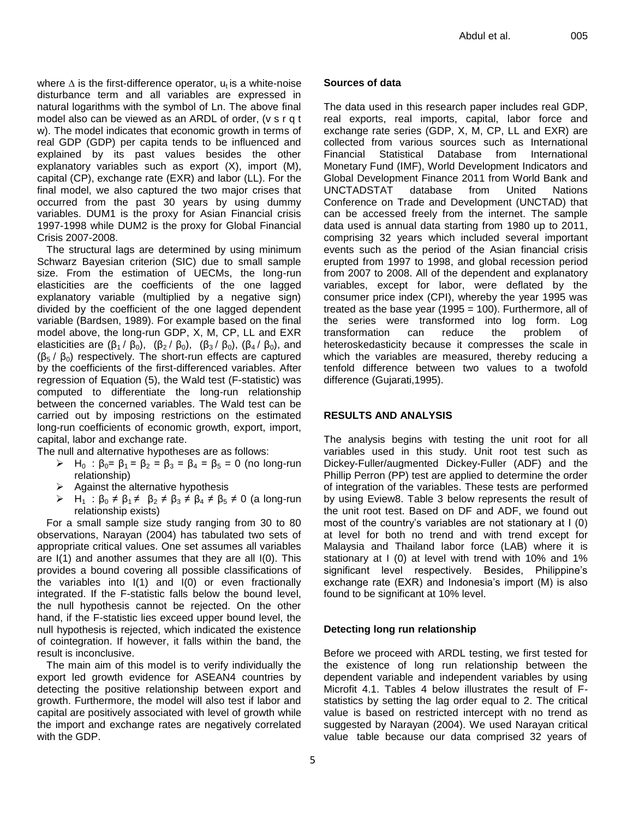where  $\Delta$  is the first-difference operator,  $u_t$  is a white-noise disturbance term and all variables are expressed in natural logarithms with the symbol of Ln. The above final model also can be viewed as an ARDL of order, (v s r q t w). The model indicates that economic growth in terms of real GDP (GDP) per capita tends to be influenced and explained by its past values besides the other explanatory variables such as export (X), import (M), capital (CP), exchange rate (EXR) and labor (LL). For the final model, we also captured the two major crises that occurred from the past 30 years by using dummy variables. DUM1 is the proxy for Asian Financial crisis 1997-1998 while DUM2 is the proxy for Global Financial Crisis 2007-2008.

The structural lags are determined by using minimum Schwarz Bayesian criterion (SIC) due to small sample size. From the estimation of UECMs, the long-run elasticities are the coefficients of the one lagged explanatory variable (multiplied by a negative sign) divided by the coefficient of the one lagged dependent variable (Bardsen, 1989). For example based on the final model above, the long-run GDP, X, M, CP, LL and EXR elasticities are  $(\beta_1 / \beta_0)$ ,  $(\beta_2 / \beta_0)$ ,  $(\beta_3 / \beta_0)$ ,  $(\beta_4 / \beta_0)$ , and  $(\beta_5 / \beta_0)$  respectively. The short-run effects are captured by the coefficients of the first-differenced variables. After regression of Equation (5), the Wald test (F-statistic) was computed to differentiate the long-run relationship between the concerned variables. The Wald test can be carried out by imposing restrictions on the estimated long-run coefficients of economic growth, export, import, capital, labor and exchange rate.

The null and alternative hypotheses are as follows:

- $\triangleright$  H<sub>0</sub> :  $\beta_0 = \beta_1 = \beta_2 = \beta_3 = \beta_4 = \beta_5 = 0$  (no long-run relationship)
- $\triangleright$  Against the alternative hypothesis
- $\triangleright$  H<sub>1</sub> :  $\beta_0 \neq \beta_1 \neq \beta_2 \neq \beta_3 \neq \beta_4 \neq \beta_5 \neq 0$  (a long-run relationship exists)

For a small sample size study ranging from 30 to 80 observations, Narayan (2004) has tabulated two sets of appropriate critical values. One set assumes all variables are I(1) and another assumes that they are all I(0). This provides a bound covering all possible classifications of the variables into I(1) and I(0) or even fractionally integrated. If the F-statistic falls below the bound level, the null hypothesis cannot be rejected. On the other hand, if the F-statistic lies exceed upper bound level, the null hypothesis is rejected, which indicated the existence of cointegration. If however, it falls within the band, the result is inconclusive.

The main aim of this model is to verify individually the export led growth evidence for ASEAN4 countries by detecting the positive relationship between export and growth. Furthermore, the model will also test if labor and capital are positively associated with level of growth while the import and exchange rates are negatively correlated with the GDP.

# **Sources of data**

The data used in this research paper includes real GDP, real exports, real imports, capital, labor force and exchange rate series (GDP, X, M, CP, LL and EXR) are collected from various sources such as International Financial Statistical Database from International Monetary Fund (IMF), World Development Indicators and Global Development Finance 2011 from World Bank and UNCTADSTAT database from United Nations Conference on Trade and Development (UNCTAD) that can be accessed freely from the internet. The sample data used is annual data starting from 1980 up to 2011, comprising 32 years which included several important events such as the period of the Asian financial crisis erupted from 1997 to 1998, and global recession period from 2007 to 2008. All of the dependent and explanatory variables, except for labor, were deflated by the consumer price index (CPI), whereby the year 1995 was treated as the base year (1995 = 100). Furthermore, all of the series were transformed into log form. Log transformation can reduce the problem of heteroskedasticity because it compresses the scale in which the variables are measured, thereby reducing a tenfold difference between two values to a twofold difference (Gujarati,1995).

# **RESULTS AND ANALYSIS**

The analysis begins with testing the unit root for all variables used in this study. Unit root test such as Dickey-Fuller/augmented Dickey-Fuller (ADF) and the Phillip Perron (PP) test are applied to determine the order of integration of the variables. These tests are performed by using Eview8. Table 3 below represents the result of the unit root test. Based on DF and ADF, we found out most of the country's variables are not stationary at I (0) at level for both no trend and with trend except for Malaysia and Thailand labor force (LAB) where it is stationary at I (0) at level with trend with 10% and 1% significant level respectively. Besides, Philippine's exchange rate (EXR) and Indonesia's import (M) is also found to be significant at 10% level.

# **Detecting long run relationship**

Before we proceed with ARDL testing, we first tested for the existence of long run relationship between the dependent variable and independent variables by using Microfit 4.1. Tables 4 below illustrates the result of Fstatistics by setting the lag order equal to 2. The critical value is based on restricted intercept with no trend as suggested by Narayan (2004). We used Narayan critical value table because our data comprised 32 years of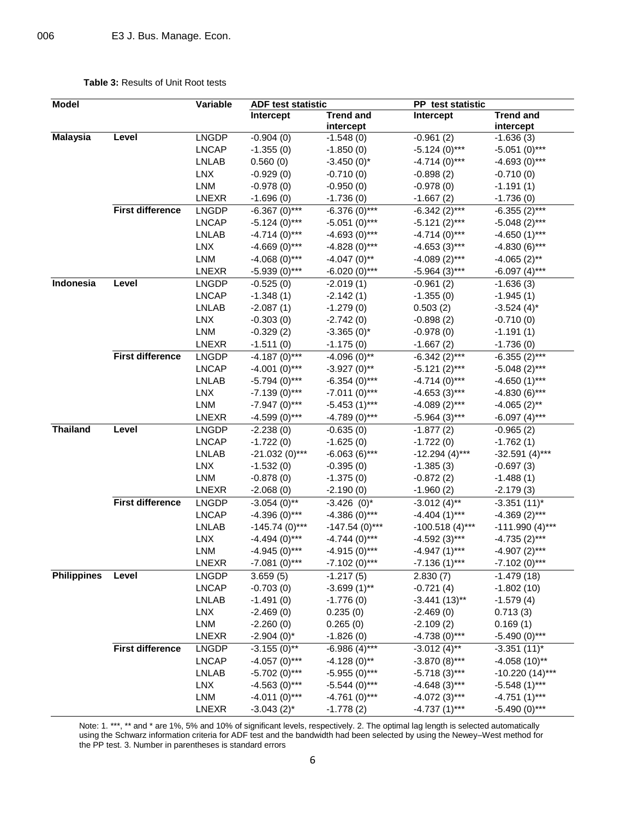## **Table 3:** Results of Unit Root tests

| <b>Model</b>       |                         | Variable     | <b>ADF test statistic</b> |                               | PP test statistic          |                               |
|--------------------|-------------------------|--------------|---------------------------|-------------------------------|----------------------------|-------------------------------|
|                    |                         |              | Intercept                 | <b>Trend and</b><br>intercept | Intercept                  | <b>Trend and</b><br>intercept |
| <b>Malaysia</b>    | Level                   | <b>LNGDP</b> | $-0.904(0)$               | $-1.548(0)$                   | $-0.961(2)$                | $-1.636(3)$                   |
|                    |                         | <b>LNCAP</b> | $-1.355(0)$               | $-1.850(0)$                   | $-5.124(0)$ ***            | $-5.051(0)$ ***               |
|                    |                         | <b>LNLAB</b> | 0.560(0)                  | $-3.450(0)^*$                 | $-4.714(0)$ ***            | $-4.693(0)$ ***               |
|                    |                         | <b>LNX</b>   | $-0.929(0)$               | $-0.710(0)$                   | $-0.898(2)$                | $-0.710(0)$                   |
|                    |                         | LNM          | $-0.978(0)$               | $-0.950(0)$                   | $-0.978(0)$                | $-1.191(1)$                   |
|                    |                         | <b>LNEXR</b> | $-1.696(0)$               | $-1.736(0)$                   | $-1.667(2)$                | $-1.736(0)$                   |
|                    | <b>First difference</b> | <b>LNGDP</b> | $-6.367(0)$ ***           | $-6.376(0)$ ***               | $-6.342(2)$ ***            | $-6.355(2)$ ***               |
|                    |                         | <b>LNCAP</b> | $-5.124(0)$ ***           | $-5.051(0)$ ***               | $-5.121(2)***$             | $-5.048(2)$ ***               |
|                    |                         | <b>LNLAB</b> | $-4.714(0)$ ***           | $-4.693(0)$ ***               | $-4.714(0)$ ***            | $-4.650(1)$ ***               |
|                    |                         | <b>LNX</b>   | $-4.669(0)$ ***           | $-4.828(0)$ ***               | $-4.653(3)$ ***            | $-4.830(6)$ ***               |
|                    |                         | LNM          | $-4.068(0)$ ***           | $-4.047(0)$ **                | $-4.089(2)***$             | $-4.065(2)$ **                |
|                    |                         | <b>LNEXR</b> | $-5.939(0)$ ***           | $-6.020(0)$ ***               | $-5.964(3)***$             | $-6.097(4)$ ***               |
| <b>Indonesia</b>   | Level                   | <b>LNGDP</b> | $-0.525(0)$               | $-2.019(1)$                   | $-0.961(2)$                | $-1.636(3)$                   |
|                    |                         | <b>LNCAP</b> | $-1.348(1)$               | $-2.142(1)$                   | $-1.355(0)$                | $-1.945(1)$                   |
|                    |                         | <b>LNLAB</b> | $-2.087(1)$               | $-1.279(0)$                   | 0.503(2)                   | $-3.524(4)^*$                 |
|                    |                         | <b>LNX</b>   | $-0.303(0)$               | $-2.742(0)$                   | $-0.898(2)$                | $-0.710(0)$                   |
|                    |                         | LNM          | $-0.329(2)$               | $-3.365(0)$ *                 | $-0.978(0)$                | $-1.191(1)$                   |
|                    |                         | <b>LNEXR</b> | $-1.511(0)$               | $-1.175(0)$                   | $-1.667(2)$                | $-1.736(0)$                   |
|                    | <b>First difference</b> | <b>LNGDP</b> | $-4.187(0)$ ***           | $-4.096(0)$ **                | $-6.342(2)$ ***            | $-6.355(2)$ ***               |
|                    |                         | <b>LNCAP</b> | $-4.001(0)$ ***           | $-3.927(0)$ **                | $-5.121(2)$ ***            | $-5.048(2)$ ***               |
|                    |                         | <b>LNLAB</b> | $-5.794(0)$ ***           | $-6.354(0)$ ***               | $-4.714(0)$ ***            | $-4.650(1)$ ***               |
|                    |                         | <b>LNX</b>   | $-7.139(0)$ ***           | $-7.011(0)$ ***               | $-4.653(3)$ ***            | $-4.830(6)$ ***               |
|                    |                         | LNM          | $-7.947(0)$ ***           | $-5.453(1)$ ***               | $-4.089(2)***$             | $-4.065(2)$ **                |
|                    |                         | <b>LNEXR</b> | $-4.599(0)$ ***           | $-4.789(0)$ ***               | $-5.964(3)***$             | $-6.097(4)$ ***               |
| <b>Thailand</b>    | Level                   | <b>LNGDP</b> | $-2.238(0)$               | $-0.635(0)$                   | $-1.877(2)$                | $-0.965(2)$                   |
|                    |                         | <b>LNCAP</b> | $-1.722(0)$               | $-1.625(0)$                   | $-1.722(0)$                | $-1.762(1)$                   |
|                    |                         | <b>LNLAB</b> | $-21.032(0)$ ***          | $-6.063(6)$ ***               | $-12.294(4)***$            | $-32.591(4)***$               |
|                    |                         | <b>LNX</b>   | $-1.532(0)$               | $-0.395(0)$                   | $-1.385(3)$                | $-0.697(3)$                   |
|                    |                         | LNM          | $-0.878(0)$               | $-1.375(0)$                   | $-0.872(2)$                | $-1.488(1)$                   |
|                    |                         | <b>LNEXR</b> | $-2.068(0)$               | $-2.190(0)$                   | $-1.960(2)$                | $-2.179(3)$                   |
|                    | <b>First difference</b> | <b>LNGDP</b> | $-3.054(0)$ **            | $-3.426$ (0)*                 | $-3.012(4)^{1/4}$          | $-3.351(11)^*$                |
|                    |                         | <b>LNCAP</b> | $-4.396(0)$ ***           | $-4.386(0)$ ***               | $-4.404(1)$ ***            | $-4.369(2)$ ***               |
|                    |                         | <b>LNLAB</b> | $-145.74(0)$ ***          | $-147.54(0)$ ***              | $-100.518(4)***$           | $-111.990(4)***$              |
|                    |                         | <b>LNX</b>   | $-4.494(0)$ ***           | $-4.744(0)$ ***               | $-4.592(3)***$             | $-4.735(2)***$                |
|                    |                         | LNM          | $-4.945(0)$ ***           | $-4.915(0)$ ***               | $-4.947(1)$ ***            | $-4.907(2)$ ***               |
|                    |                         | <b>LNEXR</b> | $-7.081(0)$ ***           | $-7.102(0)$ ***               | $-7.136(1)$ ***            | $-7.102(0)$ ***               |
| <b>Philippines</b> | Level                   | <b>LNGDP</b> | 3.659(5)                  | $-1.217(5)$                   | 2.830(7)                   | $-1.479(18)$                  |
|                    |                         | <b>LNCAP</b> | $-0.703(0)$               | $-3.699(1)$ **                | $-0.721(4)$                | $-1.802(10)$                  |
|                    |                         | <b>LNLAB</b> | $-1.491(0)$               | $-1.776(0)$                   | $-3.441(13)$ **            | $-1.579(4)$                   |
|                    |                         | <b>LNX</b>   | $-2.469(0)$               | 0.235(0)                      |                            | 0.713(3)                      |
|                    |                         | LNM          | $-2.260(0)$               | 0.265(0)                      | $-2.469(0)$<br>$-2.109(2)$ | 0.169(1)                      |
|                    |                         | LNEXR        | $-2.904(0)$ *             | $-1.826(0)$                   | $-4.738(0)$ ***            | $-5.490(0)$ ***               |
|                    | <b>First difference</b> |              |                           |                               |                            |                               |
|                    |                         | <b>LNGDP</b> | $-3.155(0)$ **            | $-6.986(4)***$                | $-3.012(4)$ **             | $-3.351(11)^*$                |
|                    |                         | <b>LNCAP</b> | $-4.057(0)$ ***           | $-4.128(0)$ **                | $-3.870(8)$ ***            | $-4.058(10)$ **               |
|                    |                         | <b>LNLAB</b> | $-5.702(0)$ ***           | $-5.955(0)$ ***               | $-5.718(3)***$             | $-10.220(14)***$              |
|                    |                         | <b>LNX</b>   | $-4.563(0)$ ***           | $-5.544(0)$ ***               | $-4.648(3)$ ***            | $-5.548(1)***$                |
|                    |                         | LNM          | $-4.011(0)$ ***           | $-4.761(0)$ ***               | $-4.072(3)***$             | $-4.751(1)***$                |
|                    |                         | LNEXR        | $-3.043(2)$ *             | $-1.778(2)$                   | $-4.737(1)$ ***            | $-5.490(0)$ ***               |

Note: 1. \*\*\*, \*\* and \* are 1%, 5% and 10% of significant levels, respectively. 2. The optimal lag length is selected automatically using the Schwarz information criteria for ADF test and the bandwidth had been selected by using the Newey–West method for the PP test. 3. Number in parentheses is standard errors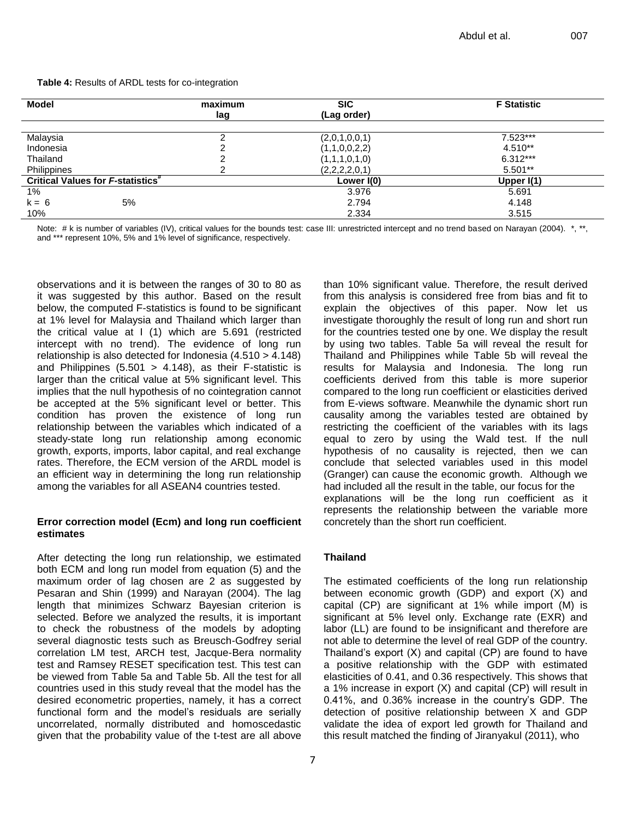**Table 4:** Results of ARDL tests for co-integration

| <b>Model</b>                                  | maximum | <b>SIC</b>    | <b>F</b> Statistic |
|-----------------------------------------------|---------|---------------|--------------------|
|                                               | lag     | (Lag order)   |                    |
| Malaysia                                      |         | (2,0,1,0,0,1) | 7.523***           |
| Indonesia                                     | ົ       | (1,1,0,0,2,2) | $4.510**$          |
| Thailand                                      | ⌒       | (1,1,1,0,1,0) | $6.312***$         |
| Philippines                                   | っ       | (2,2,2,2,0,1) | $5.501**$          |
| Critical Values for F-statistics <sup>#</sup> |         | Lower $I(0)$  | Upper $I(1)$       |
| $1\%$                                         |         | 3.976         | 5.691              |
| $k = 6$<br>5%                                 |         | 2.794         | 4.148              |
| 10%                                           |         | 2.334         | 3.515              |

Note: # k is number of variables (IV), critical values for the bounds test: case III: unrestricted intercept and no trend based on Narayan (2004). \*, \*\*, and \*\*\* represent 10%, 5% and 1% level of significance, respectively.

observations and it is between the ranges of 30 to 80 as it was suggested by this author. Based on the result below, the computed F-statistics is found to be significant at 1% level for Malaysia and Thailand which larger than the critical value at I (1) which are 5.691 (restricted intercept with no trend). The evidence of long run relationship is also detected for Indonesia (4.510 > 4.148) and Philippines  $(5.501 > 4.148)$ , as their F-statistic is larger than the critical value at 5% significant level. This implies that the null hypothesis of no cointegration cannot be accepted at the 5% significant level or better. This condition has proven the existence of long run relationship between the variables which indicated of a steady-state long run relationship among economic growth, exports, imports, labor capital, and real exchange rates. Therefore, the ECM version of the ARDL model is an efficient way in determining the long run relationship among the variables for all ASEAN4 countries tested.

## **Error correction model (Ecm) and long run coefficient estimates**

After detecting the long run relationship, we estimated both ECM and long run model from equation (5) and the maximum order of lag chosen are 2 as suggested by Pesaran and Shin (1999) and Narayan (2004). The lag length that minimizes Schwarz Bayesian criterion is selected. Before we analyzed the results, it is important to check the robustness of the models by adopting several diagnostic tests such as Breusch-Godfrey serial correlation LM test, ARCH test, Jacque-Bera normality test and Ramsey RESET specification test. This test can be viewed from Table 5a and Table 5b. All the test for all countries used in this study reveal that the model has the desired econometric properties, namely, it has a correct functional form and the model's residuals are serially uncorrelated, normally distributed and homoscedastic given that the probability value of the t-test are all above

than 10% significant value. Therefore, the result derived from this analysis is considered free from bias and fit to explain the objectives of this paper. Now let us investigate thoroughly the result of long run and short run for the countries tested one by one. We display the result by using two tables. Table 5a will reveal the result for Thailand and Philippines while Table 5b will reveal the results for Malaysia and Indonesia. The long run coefficients derived from this table is more superior compared to the long run coefficient or elasticities derived from E-views software. Meanwhile the dynamic short run causality among the variables tested are obtained by restricting the coefficient of the variables with its lags equal to zero by using the Wald test. If the null hypothesis of no causality is rejected, then we can conclude that selected variables used in this model (Granger) can cause the economic growth. Although we had included all the result in the table, our focus for the explanations will be the long run coefficient as it represents the relationship between the variable more concretely than the short run coefficient.

# **Thailand**

The estimated coefficients of the long run relationship between economic growth (GDP) and export (X) and capital (CP) are significant at 1% while import (M) is significant at 5% level only. Exchange rate (EXR) and labor (LL) are found to be insignificant and therefore are not able to determine the level of real GDP of the country. Thailand's export (X) and capital (CP) are found to have a positive relationship with the GDP with estimated elasticities of 0.41, and 0.36 respectively. This shows that a 1% increase in export (X) and capital (CP) will result in 0.41%, and 0.36% increase in the country's GDP. The detection of positive relationship between X and GDP validate the idea of export led growth for Thailand and this result matched the finding of Jiranyakul (2011), who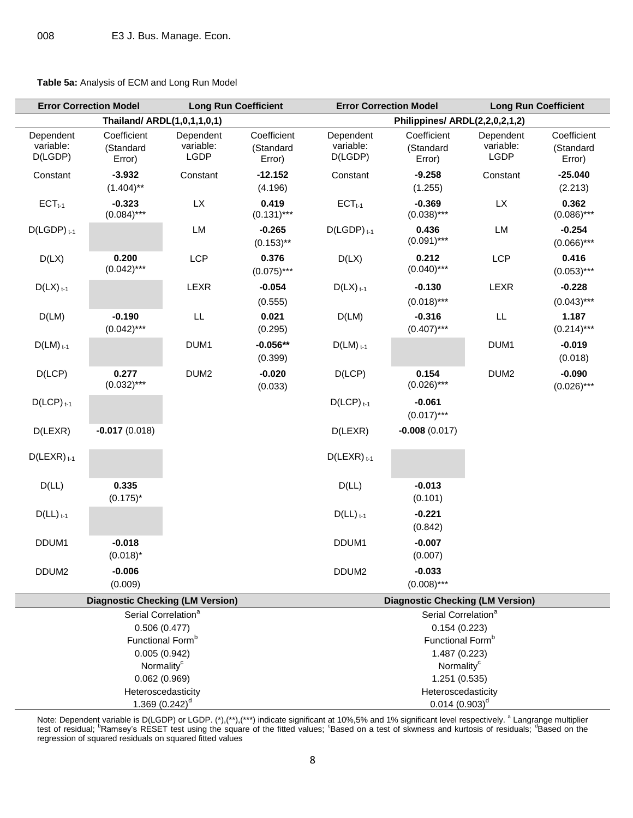**Table 5a:** Analysis of ECM and Long Run Model

| <b>Error Correction Model</b><br><b>Long Run Coefficient</b>                                    |                                         |                                | <b>Error Correction Model</b><br><b>Long Run Coefficient</b> |                                   |                                                                                                  |                                |                                    |  |  |
|-------------------------------------------------------------------------------------------------|-----------------------------------------|--------------------------------|--------------------------------------------------------------|-----------------------------------|--------------------------------------------------------------------------------------------------|--------------------------------|------------------------------------|--|--|
| Thailand/ ARDL(1,0,1,1,0,1)                                                                     |                                         |                                | Philippines/ ARDL(2,2,0,2,1,2)                               |                                   |                                                                                                  |                                |                                    |  |  |
| Dependent<br>variable:<br>D(LGDP)                                                               | Coefficient<br>(Standard<br>Error)      | Dependent<br>variable:<br>LGDP | Coefficient<br>(Standard<br>Error)                           | Dependent<br>variable:<br>D(LGDP) | Coefficient<br>(Standard<br>Error)                                                               | Dependent<br>variable:<br>LGDP | Coefficient<br>(Standard<br>Error) |  |  |
| Constant                                                                                        | $-3.932$<br>$(1.404)$ **                | Constant                       | $-12.152$<br>(4.196)                                         | Constant                          | $-9.258$<br>(1.255)                                                                              | Constant                       | $-25.040$<br>(2.213)               |  |  |
| $ECTt-1$                                                                                        | $-0.323$<br>$(0.084)$ ***               | <b>LX</b>                      | 0.419<br>$(0.131)$ ***                                       | $ECTt-1$                          | $-0.369$<br>$(0.038)$ ***                                                                        | <b>LX</b>                      | 0.362<br>$(0.086)$ ***             |  |  |
| $D(LGDP)_{t-1}$                                                                                 |                                         | LM                             | $-0.265$<br>$(0.153)$ **                                     | $D(LGDP)_{t-1}$                   | 0.436<br>$(0.091)$ ***                                                                           | LM                             | $-0.254$<br>$(0.066)$ ***          |  |  |
| D(LX)                                                                                           | 0.200<br>$(0.042)$ ***                  | LCP                            | 0.376<br>$(0.075)$ ***                                       | D(LX)                             | 0.212<br>$(0.040)$ ***                                                                           | LCP                            | 0.416<br>$(0.053)$ ***             |  |  |
| $D(LX)_{t-1}$                                                                                   |                                         | LEXR                           | $-0.054$<br>(0.555)                                          | $D(LX)_{t-1}$                     | $-0.130$<br>$(0.018)$ ***                                                                        | LEXR                           | $-0.228$<br>$(0.043)$ ***          |  |  |
| D(LM)                                                                                           | $-0.190$<br>$(0.042)$ ***               | $\mathsf{LL}$                  | 0.021<br>(0.295)                                             | D(LM)                             | $-0.316$<br>$(0.407)$ ***                                                                        | LL.                            | 1.187<br>$(0.214)***$              |  |  |
| $D(LM)$ <sub>t-1</sub>                                                                          |                                         | DUM <sub>1</sub>               | $-0.056**$<br>(0.399)                                        | $D(LM)$ <sub>t-1</sub>            |                                                                                                  | DUM1                           | $-0.019$<br>(0.018)                |  |  |
| D( LCP)                                                                                         | 0.277<br>$(0.032)***$                   | DUM <sub>2</sub>               | $-0.020$<br>(0.033)                                          | D( LCP)                           | 0.154<br>$(0.026)$ ***                                                                           | DUM <sub>2</sub>               | $-0.090$<br>$(0.026)$ ***          |  |  |
| $D(LCP)_{t-1}$                                                                                  |                                         |                                |                                                              | $D( LCP)$ <sub>t-1</sub>          | $-0.061$<br>$(0.017)$ ***                                                                        |                                |                                    |  |  |
| D(LEXR)                                                                                         | $-0.017(0.018)$                         |                                |                                                              | D(LEXR)                           | $-0.008(0.017)$                                                                                  |                                |                                    |  |  |
| $D(LEXR)_{t-1}$                                                                                 |                                         |                                |                                                              | $D(LEXR)_{t-1}$                   |                                                                                                  |                                |                                    |  |  |
| D(LL)                                                                                           | 0.335<br>$(0.175)^*$                    |                                |                                                              | D(L)                              | $-0.013$<br>(0.101)                                                                              |                                |                                    |  |  |
| $D(LL)_{t-1}$                                                                                   |                                         |                                |                                                              | $D(LL)_{t-1}$                     | $-0.221$<br>(0.842)                                                                              |                                |                                    |  |  |
| DDUM1                                                                                           | $-0.018$<br>$(0.018)^*$                 |                                |                                                              | DDUM1                             | $-0.007$<br>(0.007)                                                                              |                                |                                    |  |  |
| DDUM <sub>2</sub>                                                                               | $-0.006$<br>(0.009)                     |                                |                                                              | DDUM <sub>2</sub>                 | $-0.033$<br>$(0.008)$ ***                                                                        |                                |                                    |  |  |
|                                                                                                 | <b>Diagnostic Checking (LM Version)</b> |                                |                                                              |                                   | <b>Diagnostic Checking (LM Version)</b>                                                          |                                |                                    |  |  |
| Serial Correlation <sup>a</sup><br>0.506(0.477)<br>Functional Form <sup>b</sup><br>0.005(0.942) |                                         |                                |                                                              |                                   | Serial Correlation <sup>a</sup><br>0.154(0.223)<br>Functional Form <sup>b</sup><br>1.487 (0.223) |                                |                                    |  |  |
| Normality <sup>c</sup>                                                                          |                                         |                                |                                                              |                                   | Normality <sup>c</sup>                                                                           |                                |                                    |  |  |
| 0.062(0.969)                                                                                    |                                         |                                |                                                              | 1.251 (0.535)                     |                                                                                                  |                                |                                    |  |  |
| Heteroscedasticity<br>1.369 $(0.242)^d$                                                         |                                         |                                |                                                              |                                   | Heteroscedasticity<br>$0.014~(0.903)^d$                                                          |                                |                                    |  |  |

Note: Dependent variable is D(LGDP) or LGDP. (\*),(\*\*),(\*\*\*) indicate significant at 10%,5% and 1% significant level respectively. <sup>a</sup> Langrange multiplier<br>test of residual; <sup>b</sup>Ramsey's RESET test using the square of the fi regression of squared residuals on squared fitted values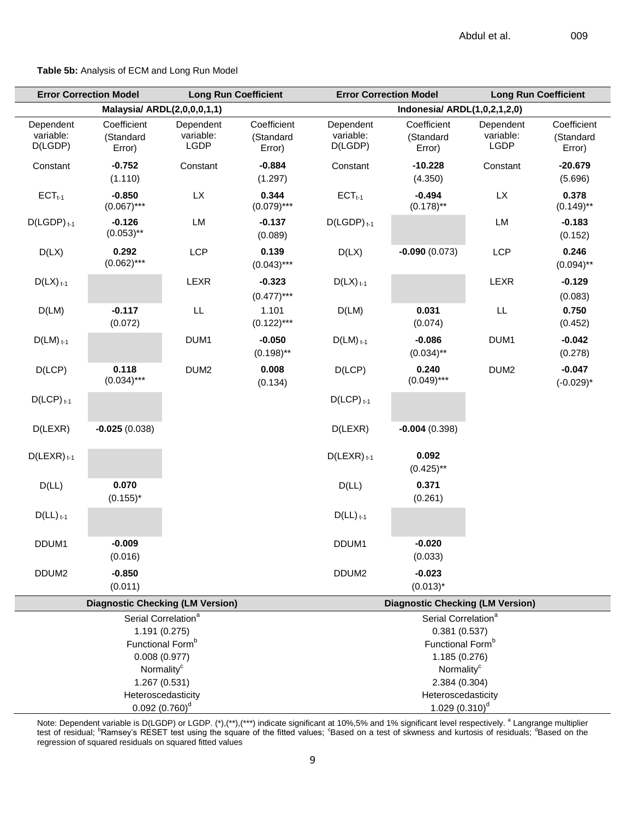**Table 5b:** Analysis of ECM and Long Run Model

|                                         | <b>Error Correction Model</b>      | <b>Long Run Coefficient</b>    |                                    |                                         | <b>Error Correction Model</b>           | <b>Long Run Coefficient</b>    |                                    |  |
|-----------------------------------------|------------------------------------|--------------------------------|------------------------------------|-----------------------------------------|-----------------------------------------|--------------------------------|------------------------------------|--|
|                                         | Malaysia/ ARDL(2,0,0,0,1,1)        |                                |                                    | Indonesia/ ARDL(1,0,2,1,2,0)            |                                         |                                |                                    |  |
| Dependent<br>variable:<br>D(LGDP)       | Coefficient<br>(Standard<br>Error) | Dependent<br>variable:<br>LGDP | Coefficient<br>(Standard<br>Error) | Dependent<br>variable:<br>D(LGDP)       | Coefficient<br>(Standard<br>Error)      | Dependent<br>variable:<br>LGDP | Coefficient<br>(Standard<br>Error) |  |
| Constant                                | $-0.752$<br>(1.110)                | Constant                       | $-0.884$<br>(1.297)                | Constant                                | $-10.228$<br>(4.350)                    | Constant                       | $-20.679$<br>(5.696)               |  |
| $ECTt-1$                                | $-0.850$<br>$(0.067)$ ***          | <b>LX</b>                      | 0.344<br>$(0.079)$ ***             | $ECTt-1$                                | $-0.494$<br>$(0.178)$ **                | <b>LX</b>                      | 0.378<br>$(0.149)$ **              |  |
| $D(LGDP)_{t-1}$                         | $-0.126$<br>$(0.053)$ **           | LM                             | $-0.137$<br>(0.089)                | $D(LGDP)_{t-1}$                         |                                         | LM                             | $-0.183$<br>(0.152)                |  |
| D(LX)                                   | 0.292<br>$(0.062)$ ***             | <b>LCP</b>                     | 0.139<br>$(0.043)$ ***             | D(LX)                                   | $-0.090(0.073)$                         | <b>LCP</b>                     | 0.246<br>$(0.094)$ **              |  |
| $D(LX)_{t-1}$                           |                                    | LEXR                           | $-0.323$<br>$(0.477)$ ***          | $D(LX)_{t-1}$                           |                                         | LEXR                           | $-0.129$<br>(0.083)                |  |
| D(LM)                                   | $-0.117$<br>(0.072)                | $\mathsf{LL}$                  | 1.101<br>$(0.122)$ ***             | D(LM)                                   | 0.031<br>(0.074)                        | LL                             | 0.750<br>(0.452)                   |  |
| $D(LM)$ <sub>t-1</sub>                  |                                    | DUM1                           | $-0.050$<br>$(0.198)$ **           | $D(LM)$ <sub>t-1</sub>                  | $-0.086$<br>$(0.034)$ **                | DUM <sub>1</sub>               | $-0.042$<br>(0.278)                |  |
| D( LCP)                                 | 0.118<br>$(0.034)$ ***             | DUM <sub>2</sub>               | 0.008<br>(0.134)                   | D( LCP)                                 | 0.240<br>$(0.049)$ ***                  | DUM <sub>2</sub>               | $-0.047$<br>$(-0.029)^*$           |  |
| $D( LCP)$ <sub>t-1</sub>                |                                    |                                |                                    | $D(LCP)_{t-1}$                          |                                         |                                |                                    |  |
| D(LEXR)                                 | $-0.025(0.038)$                    |                                |                                    | D(LEXR)                                 | $-0.004(0.398)$                         |                                |                                    |  |
| $D(LEXR)_{t-1}$                         |                                    |                                |                                    | $D(LEXR)_{t-1}$                         | 0.092<br>$(0.425)$ **                   |                                |                                    |  |
| D(LL)                                   | 0.070<br>$(0.155)^*$               |                                |                                    | D(LL)                                   | 0.371<br>(0.261)                        |                                |                                    |  |
| $D(LL)_{t-1}$                           |                                    |                                |                                    | $D(LL)$ <sub>t-1</sub>                  |                                         |                                |                                    |  |
| DDUM1                                   | $-0.009$<br>(0.016)                |                                |                                    | DDUM1                                   | $-0.020$<br>(0.033)                     |                                |                                    |  |
| DDUM <sub>2</sub>                       | $-0.850$<br>(0.011)                |                                |                                    | DDUM <sub>2</sub>                       | $-0.023$<br>$(0.013)^*$                 |                                |                                    |  |
| <b>Diagnostic Checking (LM Version)</b> |                                    |                                |                                    | <b>Diagnostic Checking (LM Version)</b> |                                         |                                |                                    |  |
|                                         | Serial Correlation <sup>a</sup>    |                                |                                    |                                         | Serial Correlation <sup>a</sup>         |                                |                                    |  |
| 1.191 (0.275)                           |                                    |                                |                                    | 0.381(0.537)                            |                                         |                                |                                    |  |
| Functional Form <sup>b</sup>            |                                    |                                |                                    | Functional Form <sup>b</sup>            |                                         |                                |                                    |  |
| 0.008(0.977)<br>Normality <sup>c</sup>  |                                    |                                |                                    |                                         | 1.185 (0.276)<br>Normality <sup>c</sup> |                                |                                    |  |
| 1.267 (0.531)                           |                                    |                                |                                    | 2.384 (0.304)                           |                                         |                                |                                    |  |
| Heteroscedasticity                      |                                    |                                |                                    |                                         | Heteroscedasticity                      |                                |                                    |  |
|                                         | $0.092(0.760)^d$                   |                                |                                    |                                         | 1.029 $(0.310)^d$                       |                                |                                    |  |

Note: Dependent variable is D(LGDP) or LGDP. (\*),(\*\*),(\*\*\*) indicate significant at 10%,5% and 1% significant level respectively. <sup>a</sup> Langrange multiplier<br>test of residual; <sup>b</sup>Ramsey's RESET test using the square of the fi regression of squared residuals on squared fitted values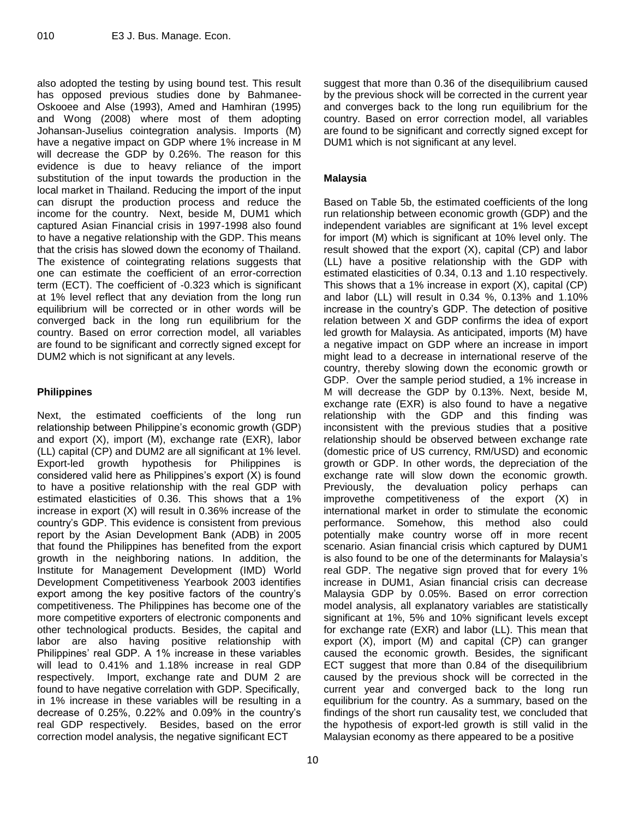also adopted the testing by using bound test. This result has opposed previous studies done by Bahmanee-Oskooee and Alse (1993), Amed and Hamhiran (1995) and Wong (2008) where most of them adopting Johansan-Juselius cointegration analysis. Imports (M) have a negative impact on GDP where 1% increase in M will decrease the GDP by 0.26%. The reason for this evidence is due to heavy reliance of the import substitution of the input towards the production in the local market in Thailand. Reducing the import of the input can disrupt the production process and reduce the income for the country. Next, beside M, DUM1 which captured Asian Financial crisis in 1997-1998 also found to have a negative relationship with the GDP. This means that the crisis has slowed down the economy of Thailand. The existence of cointegrating relations suggests that one can estimate the coefficient of an error-correction term (ECT). The coefficient of -0.323 which is significant at 1% level reflect that any deviation from the long run equilibrium will be corrected or in other words will be converged back in the long run equilibrium for the country. Based on error correction model, all variables are found to be significant and correctly signed except for DUM2 which is not significant at any levels.

# **Philippines**

Next, the estimated coefficients of the long run relationship between Philippine's economic growth (GDP) and export (X), import (M), exchange rate (EXR), labor (LL) capital (CP) and DUM2 are all significant at 1% level. Export-led growth hypothesis for Philippines is considered valid here as Philippines's export (X) is found to have a positive relationship with the real GDP with estimated elasticities of 0.36. This shows that a 1% increase in export (X) will result in 0.36% increase of the country's GDP. This evidence is consistent from previous report by the Asian Development Bank (ADB) in 2005 that found the Philippines has benefited from the export growth in the neighboring nations. In addition, the Institute for Management Development (IMD) World Development Competitiveness Yearbook 2003 identifies export among the key positive factors of the country's competitiveness. The Philippines has become one of the more competitive exporters of electronic components and other technological products. Besides, the capital and labor are also having positive relationship with Philippines' real GDP. A 1% increase in these variables will lead to 0.41% and 1.18% increase in real GDP respectively. Import, exchange rate and DUM 2 are found to have negative correlation with GDP. Specifically, in 1% increase in these variables will be resulting in a decrease of 0.25%, 0.22% and 0.09% in the country's real GDP respectively. Besides, based on the error correction model analysis, the negative significant ECT

suggest that more than 0.36 of the disequilibrium caused by the previous shock will be corrected in the current year and converges back to the long run equilibrium for the country. Based on error correction model, all variables are found to be significant and correctly signed except for DUM1 which is not significant at any level.

# **Malaysia**

Based on Table 5b, the estimated coefficients of the long run relationship between economic growth (GDP) and the independent variables are significant at 1% level except for import (M) which is significant at 10% level only. The result showed that the export (X), capital (CP) and labor (LL) have a positive relationship with the GDP with estimated elasticities of 0.34, 0.13 and 1.10 respectively. This shows that a 1% increase in export (X), capital (CP) and labor (LL) will result in 0.34 %, 0.13% and 1.10% increase in the country's GDP. The detection of positive relation between X and GDP confirms the idea of export led growth for Malaysia. As anticipated, imports (M) have a negative impact on GDP where an increase in import might lead to a decrease in international reserve of the country, thereby slowing down the economic growth or GDP. Over the sample period studied, a 1% increase in M will decrease the GDP by 0.13%. Next, beside M, exchange rate (EXR) is also found to have a negative relationship with the GDP and this finding was inconsistent with the previous studies that a positive relationship should be observed between exchange rate (domestic price of US currency, RM/USD) and economic growth or GDP. In other words, the depreciation of the exchange rate will slow down the economic growth. Previously, the devaluation policy perhaps can improvethe competitiveness of the export (X) in international market in order to stimulate the economic performance. Somehow, this method also could potentially make country worse off in more recent scenario. Asian financial crisis which captured by DUM1 is also found to be one of the determinants for Malaysia's real GDP. The negative sign proved that for every 1% increase in DUM1, Asian financial crisis can decrease Malaysia GDP by 0.05%. Based on error correction model analysis, all explanatory variables are statistically significant at 1%, 5% and 10% significant levels except for exchange rate (EXR) and labor (LL). This mean that export (X), import (M) and capital (CP) can granger caused the economic growth. Besides, the significant ECT suggest that more than 0.84 of the disequilibrium caused by the previous shock will be corrected in the current year and converged back to the long run equilibrium for the country. As a summary, based on the findings of the short run causality test, we concluded that the hypothesis of export-led growth is still valid in the Malaysian economy as there appeared to be a positive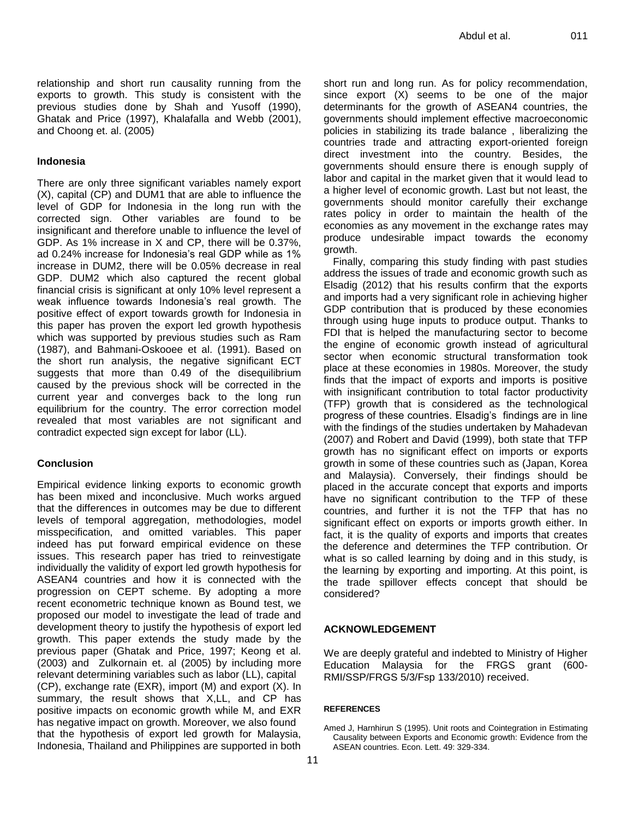relationship and short run causality running from the exports to growth. This study is consistent with the previous studies done by Shah and Yusoff (1990), Ghatak and Price (1997), Khalafalla and Webb (2001), and Choong et. al. (2005)

#### **Indonesia**

There are only three significant variables namely export (X), capital (CP) and DUM1 that are able to influence the level of GDP for Indonesia in the long run with the corrected sign. Other variables are found to be insignificant and therefore unable to influence the level of GDP. As 1% increase in X and CP, there will be 0.37%, ad 0.24% increase for Indonesia's real GDP while as 1% increase in DUM2, there will be 0.05% decrease in real GDP. DUM2 which also captured the recent global financial crisis is significant at only 10% level represent a weak influence towards Indonesia's real growth. The positive effect of export towards growth for Indonesia in this paper has proven the export led growth hypothesis which was supported by previous studies such as Ram (1987), and Bahmani-Oskooee et al. (1991). Based on the short run analysis, the negative significant ECT suggests that more than 0.49 of the disequilibrium caused by the previous shock will be corrected in the current year and converges back to the long run equilibrium for the country. The error correction model revealed that most variables are not significant and contradict expected sign except for labor (LL).

#### **Conclusion**

Empirical evidence linking exports to economic growth has been mixed and inconclusive. Much works argued that the differences in outcomes may be due to different levels of temporal aggregation, methodologies, model misspecification, and omitted variables. This paper indeed has put forward empirical evidence on these issues. This research paper has tried to reinvestigate individually the validity of export led growth hypothesis for ASEAN4 countries and how it is connected with the progression on CEPT scheme. By adopting a more recent econometric technique known as Bound test, we proposed our model to investigate the lead of trade and development theory to justify the hypothesis of export led growth. This paper extends the study made by the previous paper (Ghatak and Price, 1997; Keong et al. (2003) and Zulkornain et. al (2005) by including more relevant determining variables such as labor (LL), capital (CP), exchange rate (EXR), import (M) and export (X). In summary, the result shows that X,LL, and CP has positive impacts on economic growth while M, and EXR has negative impact on growth. Moreover, we also found that the hypothesis of export led growth for Malaysia, Indonesia, Thailand and Philippines are supported in both

short run and long run. As for policy recommendation, since export (X) seems to be one of the major determinants for the growth of ASEAN4 countries, the governments should implement effective macroeconomic policies in stabilizing its trade balance , liberalizing the countries trade and attracting export-oriented foreign direct investment into the country. Besides, the governments should ensure there is enough supply of labor and capital in the market given that it would lead to a higher level of economic growth. Last but not least, the governments should monitor carefully their exchange rates policy in order to maintain the health of the economies as any movement in the exchange rates may produce undesirable impact towards the economy growth.

Finally, comparing this study finding with past studies address the issues of trade and economic growth such as Elsadig (2012) that his results confirm that the exports and imports had a very significant role in achieving higher GDP contribution that is produced by these economies through using huge inputs to produce output. Thanks to FDI that is helped the manufacturing sector to become the engine of economic growth instead of agricultural sector when economic structural transformation took place at these economies in 1980s. Moreover, the study finds that the impact of exports and imports is positive with insignificant contribution to total factor productivity (TFP) growth that is considered as the technological progress of these countries. Elsadig's findings are in line with the findings of the studies undertaken by Mahadevan (2007) and Robert and David (1999), both state that TFP growth has no significant effect on imports or exports growth in some of these countries such as (Japan, Korea and Malaysia). Conversely, their findings should be placed in the accurate concept that exports and imports have no significant contribution to the TFP of these countries, and further it is not the TFP that has no significant effect on exports or imports growth either. In fact, it is the quality of exports and imports that creates the deference and determines the TFP contribution. Or what is so called learning by doing and in this study, is the learning by exporting and importing. At this point, is the trade spillover effects concept that should be considered?

## **ACKNOWLEDGEMENT**

We are deeply grateful and indebted to Ministry of Higher Education Malaysia for the FRGS grant (600- RMI/SSP/FRGS 5/3/Fsp 133/2010) received.

#### **REFERENCES**

Amed J, Harnhirun S (1995). Unit roots and Cointegration in Estimating Causality between Exports and Economic growth: Evidence from the ASEAN countries. Econ. Lett. 49: 329-334.